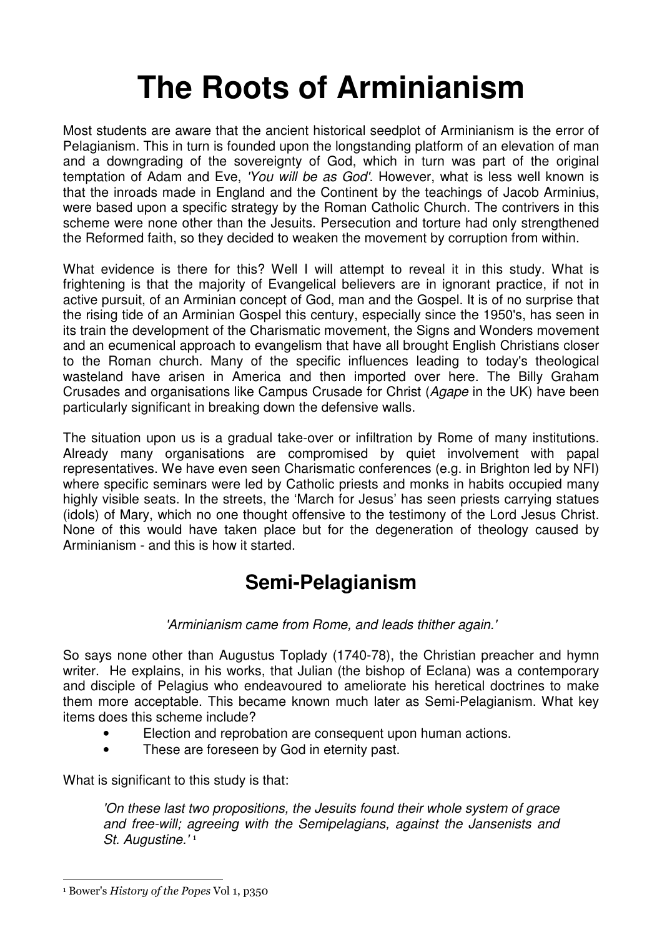# **The Roots of Arminianism**

Most students are aware that the ancient historical seedplot of Arminianism is the error of Pelagianism. This in turn is founded upon the longstanding platform of an elevation of man and a downgrading of the sovereignty of God, which in turn was part of the original temptation of Adam and Eve, 'You will be as God'. However, what is less well known is that the inroads made in England and the Continent by the teachings of Jacob Arminius, were based upon a specific strategy by the Roman Catholic Church. The contrivers in this scheme were none other than the Jesuits. Persecution and torture had only strengthened the Reformed faith, so they decided to weaken the movement by corruption from within.

What evidence is there for this? Well I will attempt to reveal it in this study. What is frightening is that the majority of Evangelical believers are in ignorant practice, if not in active pursuit, of an Arminian concept of God, man and the Gospel. It is of no surprise that the rising tide of an Arminian Gospel this century, especially since the 1950's, has seen in its train the development of the Charismatic movement, the Signs and Wonders movement and an ecumenical approach to evangelism that have all brought English Christians closer to the Roman church. Many of the specific influences leading to today's theological wasteland have arisen in America and then imported over here. The Billy Graham Crusades and organisations like Campus Crusade for Christ (Agape in the UK) have been particularly significant in breaking down the defensive walls.

The situation upon us is a gradual take-over or infiltration by Rome of many institutions. Already many organisations are compromised by quiet involvement with papal representatives. We have even seen Charismatic conferences (e.g. in Brighton led by NFI) where specific seminars were led by Catholic priests and monks in habits occupied many highly visible seats. In the streets, the 'March for Jesus' has seen priests carrying statues (idols) of Mary, which no one thought offensive to the testimony of the Lord Jesus Christ. None of this would have taken place but for the degeneration of theology caused by Arminianism - and this is how it started.

# **Semi-Pelagianism**

#### 'Arminianism came from Rome, and leads thither again.'

So says none other than Augustus Toplady (1740-78), the Christian preacher and hymn writer. He explains, in his works, that Julian (the bishop of Eclana) was a contemporary and disciple of Pelagius who endeavoured to ameliorate his heretical doctrines to make them more acceptable. This became known much later as Semi-Pelagianism. What key items does this scheme include?

- Election and reprobation are consequent upon human actions.
- These are foreseen by God in eternity past.

What is significant to this study is that:

'On these last two propositions, the Jesuits found their whole system of grace and free-will; agreeing with the Semipelagians, against the Jansenists and St. Augustine.'<sup>1</sup>

L

<sup>1</sup> Bower's *History of the Popes* Vol 1, p350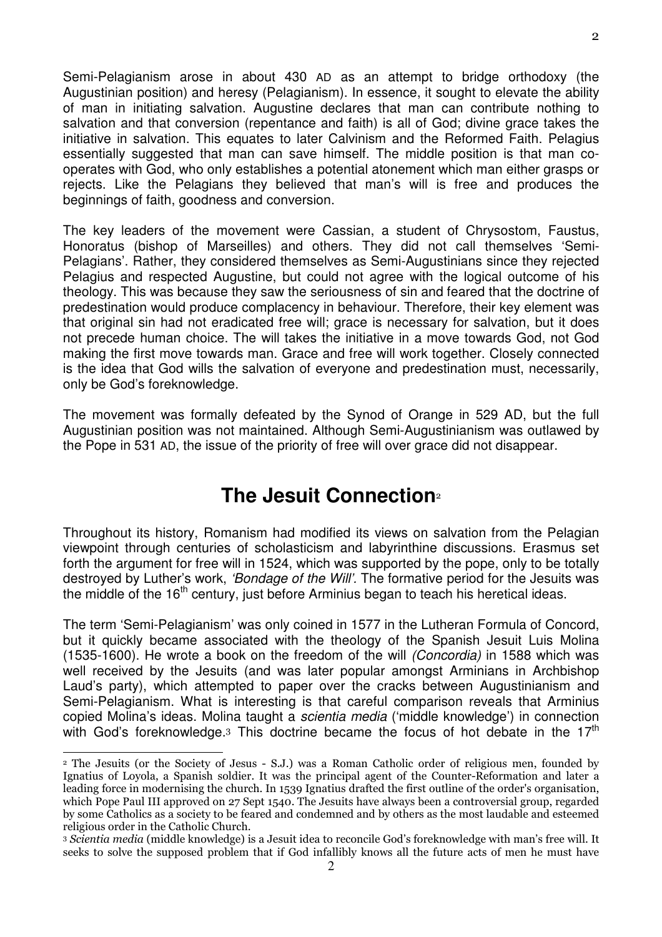Semi-Pelagianism arose in about 430 AD as an attempt to bridge orthodoxy (the Augustinian position) and heresy (Pelagianism). In essence, it sought to elevate the ability of man in initiating salvation. Augustine declares that man can contribute nothing to salvation and that conversion (repentance and faith) is all of God; divine grace takes the initiative in salvation. This equates to later Calvinism and the Reformed Faith. Pelagius essentially suggested that man can save himself. The middle position is that man cooperates with God, who only establishes a potential atonement which man either grasps or rejects. Like the Pelagians they believed that man's will is free and produces the beginnings of faith, goodness and conversion.

The key leaders of the movement were Cassian, a student of Chrysostom, Faustus, Honoratus (bishop of Marseilles) and others. They did not call themselves 'Semi-Pelagians'. Rather, they considered themselves as Semi-Augustinians since they rejected Pelagius and respected Augustine, but could not agree with the logical outcome of his theology. This was because they saw the seriousness of sin and feared that the doctrine of predestination would produce complacency in behaviour. Therefore, their key element was that original sin had not eradicated free will; grace is necessary for salvation, but it does not precede human choice. The will takes the initiative in a move towards God, not God making the first move towards man. Grace and free will work together. Closely connected is the idea that God wills the salvation of everyone and predestination must, necessarily, only be God's foreknowledge.

The movement was formally defeated by the Synod of Orange in 529 AD, but the full Augustinian position was not maintained. Although Semi-Augustinianism was outlawed by the Pope in 531 AD, the issue of the priority of free will over grace did not disappear.

#### **The Jesuit Connection**<sup>2</sup>

Throughout its history, Romanism had modified its views on salvation from the Pelagian viewpoint through centuries of scholasticism and labyrinthine discussions. Erasmus set forth the argument for free will in 1524, which was supported by the pope, only to be totally destroyed by Luther's work, *'Bondage of the Will'*. The formative period for the Jesuits was the middle of the 16<sup>th</sup> century, just before Arminius began to teach his heretical ideas.

The term 'Semi-Pelagianism' was only coined in 1577 in the Lutheran Formula of Concord, but it quickly became associated with the theology of the Spanish Jesuit Luis Molina (1535-1600). He wrote a book on the freedom of the will (Concordia) in 1588 which was well received by the Jesuits (and was later popular amongst Arminians in Archbishop Laud's party), which attempted to paper over the cracks between Augustinianism and Semi-Pelagianism. What is interesting is that careful comparison reveals that Arminius copied Molina's ideas. Molina taught a scientia media ('middle knowledge') in connection with God's foreknowledge.<sup>3</sup> This doctrine became the focus of hot debate in the  $17<sup>th</sup>$ 

 $\overline{a}$ 

<sup>2</sup> The Jesuits (or the Society of Jesus - S.J.) was a Roman Catholic order of religious men, founded by Ignatius of Loyola, a Spanish soldier. It was the principal agent of the Counter-Reformation and later a leading force in modernising the church. In 1539 Ignatius drafted the first outline of the order's organisation, which Pope Paul III approved on 27 Sept 1540. The Jesuits have always been a controversial group, regarded by some Catholics as a society to be feared and condemned and by others as the most laudable and esteemed religious order in the Catholic Church.

<sup>3</sup> *Scientia media* (middle knowledge) is a Jesuit idea to reconcile God's foreknowledge with man's free will. It seeks to solve the supposed problem that if God infallibly knows all the future acts of men he must have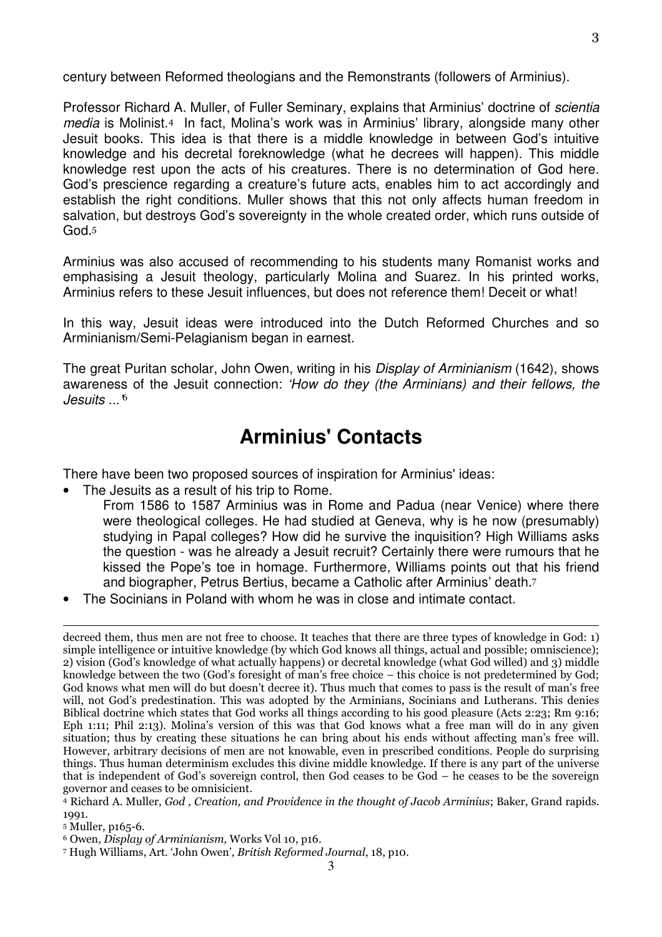century between Reformed theologians and the Remonstrants (followers of Arminius).

Professor Richard A. Muller, of Fuller Seminary, explains that Arminius' doctrine of *scientia* media is Molinist.4 In fact, Molina's work was in Arminius' library, alongside many other Jesuit books. This idea is that there is a middle knowledge in between God's intuitive knowledge and his decretal foreknowledge (what he decrees will happen). This middle knowledge rest upon the acts of his creatures. There is no determination of God here. God's prescience regarding a creature's future acts, enables him to act accordingly and establish the right conditions. Muller shows that this not only affects human freedom in salvation, but destroys God's sovereignty in the whole created order, which runs outside of God. 5

Arminius was also accused of recommending to his students many Romanist works and emphasising a Jesuit theology, particularly Molina and Suarez. In his printed works, Arminius refers to these Jesuit influences, but does not reference them! Deceit or what!

In this way, Jesuit ideas were introduced into the Dutch Reformed Churches and so Arminianism/Semi-Pelagianism began in earnest.

The great Puritan scholar, John Owen, writing in his *Display of Arminianism* (1642), shows awareness of the Jesuit connection: 'How do they (the Arminians) and their fellows, the  $J$ esuits  $\mathfrak{g}^6$ 

# **Arminius' Contacts**

There have been two proposed sources of inspiration for Arminius' ideas:

- The Jesuits as a result of his trip to Rome.
	- From 1586 to 1587 Arminius was in Rome and Padua (near Venice) where there were theological colleges. He had studied at Geneva, why is he now (presumably) studying in Papal colleges? How did he survive the inquisition? High Williams asks the question - was he already a Jesuit recruit? Certainly there were rumours that he kissed the Pope's toe in homage. Furthermore, Williams points out that his friend and biographer, Petrus Bertius, became a Catholic after Arminius' death. 7
- The Socinians in Poland with whom he was in close and intimate contact.

 $\overline{a}$ 

decreed them, thus men are not free to choose. It teaches that there are three types of knowledge in God: 1) simple intelligence or intuitive knowledge (by which God knows all things, actual and possible; omniscience); 2) vision (God's knowledge of what actually happens) or decretal knowledge (what God willed) and 3) middle knowledge between the two (God's foresight of man's free choice – this choice is not predetermined by God; God knows what men will do but doesn't decree it). Thus much that comes to pass is the result of man's free will, not God's predestination. This was adopted by the Arminians, Socinians and Lutherans. This denies Biblical doctrine which states that God works all things according to his good pleasure (Acts 2:23; Rm 9:16; Eph 1:11; Phil 2:13). Molina's version of this was that God knows what a free man will do in any given situation; thus by creating these situations he can bring about his ends without affecting man's free will. However, arbitrary decisions of men are not knowable, even in prescribed conditions. People do surprising things. Thus human determinism excludes this divine middle knowledge. If there is any part of the universe that is independent of God's sovereign control, then God ceases to be God – he ceases to be the sovereign governor and ceases to be omnisicient.

<sup>4</sup> Richard A. Muller, *God , Creation, and Providence in the thought of Jacob Arminius*; Baker, Grand rapids. 1001

<sup>5</sup> Muller, p165-6.

<sup>6</sup> Owen, *Display of Arminianism,* Works Vol 10, p16.

<sup>3</sup>  7 Hugh Williams, Art. 'John Owen'*, British Reformed Journal*, 18, p10.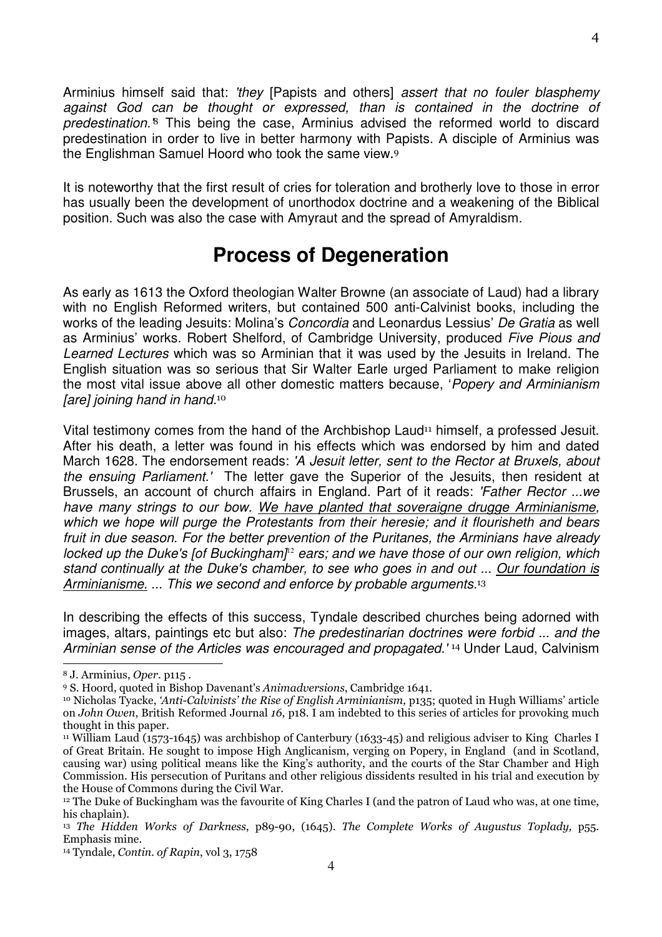Arminius himself said that: 'they [Papists and others] assert that no fouler blasphemy against God can be thought or expressed, than is contained in the doctrine of predestination.<sup>8</sup> This being the case, Arminius advised the reformed world to discard predestination in order to live in better harmony with Papists. A disciple of Arminius was the Englishman Samuel Hoord who took the same view. 9

It is noteworthy that the first result of cries for toleration and brotherly love to those in error has usually been the development of unorthodox doctrine and a weakening of the Biblical position. Such was also the case with Amyraut and the spread of Amyraldism.

### **Process of Degeneration**

As early as 1613 the Oxford theologian Walter Browne (an associate of Laud) had a library with no English Reformed writers, but contained 500 anti-Calvinist books, including the works of the leading Jesuits: Molina's Concordia and Leonardus Lessius' De Gratia as well as Arminius' works. Robert Shelford, of Cambridge University, produced Five Pious and Learned Lectures which was so Arminian that it was used by the Jesuits in Ireland. The English situation was so serious that Sir Walter Earle urged Parliament to make religion the most vital issue above all other domestic matters because, 'Popery and Arminianism [are] joining hand in hand.<sup>10</sup>

Vital testimony comes from the hand of the Archbishop Laud<sup>11</sup> himself, a professed Jesuit. After his death, a letter was found in his effects which was endorsed by him and dated March 1628. The endorsement reads: 'A Jesuit letter, sent to the Rector at Bruxels, about the ensuing Parliament.' The letter gave the Superior of the Jesuits, then resident at Brussels, an account of church affairs in England. Part of it reads: 'Father Rector ... we have many strings to our bow. We have planted that soveraigne drugge Arminianisme, which we hope will purge the Protestants from their heresie; and it flourisheth and bears fruit in due season. For the better prevention of the Puritanes, the Arminians have already locked up the Duke's [of Buckingham]<sup>12</sup> ears; and we have those of our own religion, which stand continually at the Duke's chamber, to see who goes in and out ... Our foundation is Arminianisme. ... This we second and enforce by probable arguments.<sup>13</sup>

In describing the effects of this success, Tyndale described churches being adorned with images, altars, paintings etc but also: The predestinarian doctrines were forbid ... and the Arminian sense of the Articles was encouraged and propagated.<sup>'14</sup> Under Laud, Calvinism  $\overline{a}$ 

4

<sup>8</sup> J. Arminius, *Oper*. p115 .

<sup>9</sup> S. Hoord, quoted in Bishop Davenant's *Animadversions*, Cambridge 1641.

<sup>10</sup> Nicholas Tyacke, *'Anti-Calvinists' the Rise of English Arminianism,* p135; quoted in Hugh Williams' article on *John Owen*, British Reformed Journal *16*, p18. I am indebted to this series of articles for provoking much thought in this paper.

<sup>&</sup>lt;sup>11</sup> William Laud (1573-1645) was archbishop of Canterbury (1633-45) and religious adviser to King Charles I of Great Britain. He sought to impose High Anglicanism, verging on Popery, in England (and in Scotland, causing war) using political means like the King's authority, and the courts of the Star Chamber and High Commission. His persecution of Puritans and other religious dissidents resulted in his trial and execution by the House of Commons during the Civil War.

<sup>&</sup>lt;sup>12</sup> The Duke of Buckingham was the favourite of King Charles I (and the patron of Laud who was, at one time, his chaplain).

<sup>13</sup> *The Hidden Works of Darkness*, p89-90, (1645). *The Complete Works of Augustus Toplady,* p55. Emphasis mine.

<sup>14</sup> Tyndale, *Contin. of Rapin*, vol 3, 1758